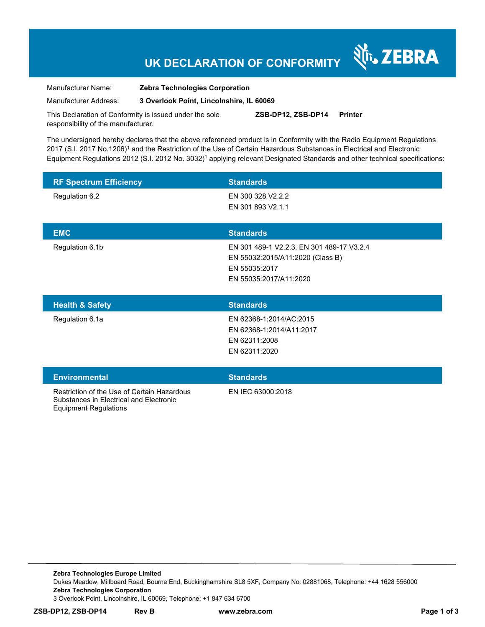# **UK DECLARATION OF CONFORMITY**

र्शे<sub>ं</sub> ZEBRA

Manufacturer Name: **Zebra Technologies Corporation** 

Manufacturer Address: **3 Overlook Point, Lincolnshire, IL 60069** 

This Declaration of Conformity is issued under the sole responsibility of the manufacturer. **ZSB-DP12, ZSB-DP14 Printer** 

The undersigned hereby declares that the above referenced product is in Conformity with the Radio Equipment Regulations 2017 (S.I. 2017 No.1206)<sup>1</sup> and the Restriction of the Use of Certain Hazardous Substances in Electrical and Electronic Equipment Regulations 2012 (S.I. 2012 No. 3032)<sup>1</sup> applying relevant Designated Standards and other technical specifications:

| <b>RF Spectrum Efficiency</b> | <b>Standards</b>                                                                                                         |
|-------------------------------|--------------------------------------------------------------------------------------------------------------------------|
| Regulation 6.2                | EN 300 328 V2.2.2<br>EN 301 893 V2.1.1                                                                                   |
| <b>EMC</b>                    | <b>Standards</b>                                                                                                         |
| Regulation 6.1b               | EN 301 489-1 V2.2.3, EN 301 489-17 V3.2.4<br>EN 55032:2015/A11:2020 (Class B)<br>EN 55035:2017<br>EN 55035:2017/A11:2020 |
| <b>Health &amp; Safety</b>    | <b>Standards</b>                                                                                                         |
| Regulation 6.1a               | EN 62368-1:2014/AC:2015<br>EN 62368-1:2014/A11:2017<br>EN 62311:2008<br>EN 62311:2020                                    |
| <b>Environmental</b>          | <b>Standards</b>                                                                                                         |

Restriction of the Use of Certain Hazardous Substances in Electrical and Electronic Equipment Regulations

EN IEC 63000:2018

**Zebra Technologies Europe Limited**  Dukes Meadow, Millboard Road, Bourne End, Buckinghamshire SL8 5XF, Company No: 02881068, Telephone: +44 1628 556000 **Zebra Technologies Corporation**  3 Overlook Point, Lincolnshire, IL 60069, Telephone: +1 847 634 6700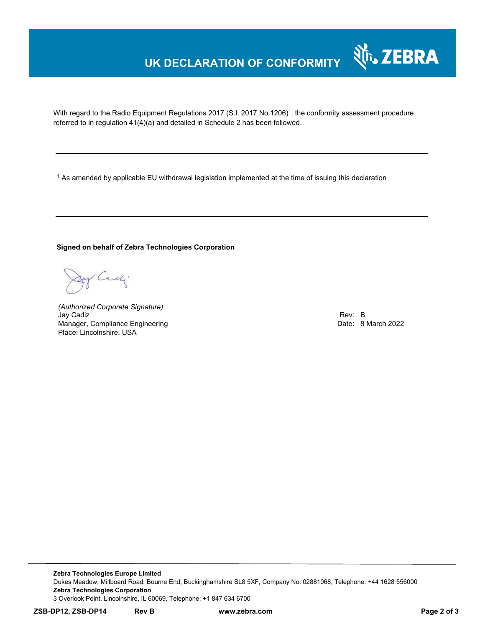# **UK DECLARATION OF CONFORMITY**

With regard to the Radio Equipment Regulations 2017 (S.I. 2017 No.1206)<sup>1</sup>, the conformity assessment procedure referred to in regulation 41(4)(a) and detailed in Schedule 2 has been followed.

 $^{\rm 1}$  As amended by applicable EU withdrawal legislation implemented at the time of issuing this declaration

**Signed on behalf of Zebra Technologies Corporation** 

Cadj

*(Authorized Corporate Signature)* Jay Cadiz Rev: B Manager, Compliance Engineering **Date: 8 March 2022** Place: Lincolnshire, USA

र्शे<sub>ं</sub> ZEBRA

**Zebra Technologies Europe Limited**  Dukes Meadow, Millboard Road, Bourne End, Buckinghamshire SL8 5XF, Company No: 02881068, Telephone: +44 1628 556000 **Zebra Technologies Corporation**  3 Overlook Point, Lincolnshire, IL 60069, Telephone: +1 847 634 6700